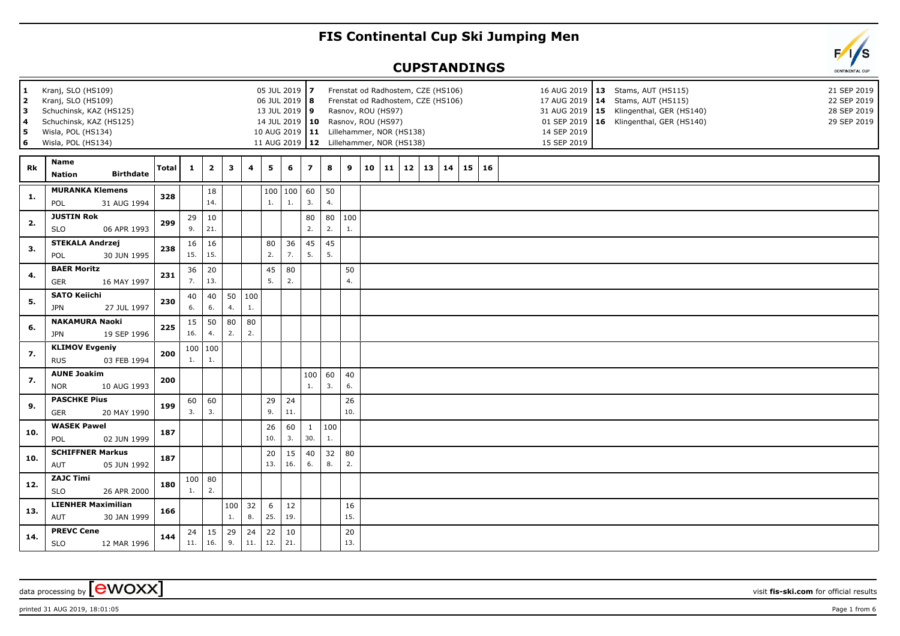## **FIS Continental Cup Ski Jumping Men**

## **CUPSTANDINGS**

| $\mathbf{1}$<br>$\overline{2}$<br>3<br>4<br>5.<br>6 | Kranj, SLO (HS109)<br>Kranj, SLO (HS109)<br>Schuchinsk, KAZ (HS125)<br>Schuchinsk, KAZ (HS125)<br>Wisla, POL (HS134)<br>Wisla, POL (HS134) |       |           | Rasnov, ROU (HS97)<br>14 JUL 2019   10 Rasnov, ROU (HS97) |           | Frenstat od Radhostem, CZE (HS106)<br>Frenstat od Radhostem, CZE (HS106)<br>10 AUG 2019   11 Lillehammer, NOR (HS138)<br>11 AUG 2019   12 Lillehammer, NOR (HS138) |                |                   |                     |           | 14 SEP 2019<br>15 SEP 2019 | 16 AUG 2019   13 Stams, AUT (HS115)<br>17 AUG 2019   14 Stams, AUT (HS115)<br>31 AUG 2019   15 Klingenthal, GER (HS140)<br>01 SEP 2019   16 Klingenthal, GER (HS140) |    | 21 SEP 2019<br>22 SEP 2019<br>28 SEP 2019<br>29 SEP 2019 |    |    |       |  |  |  |  |  |
|-----------------------------------------------------|--------------------------------------------------------------------------------------------------------------------------------------------|-------|-----------|-----------------------------------------------------------|-----------|--------------------------------------------------------------------------------------------------------------------------------------------------------------------|----------------|-------------------|---------------------|-----------|----------------------------|----------------------------------------------------------------------------------------------------------------------------------------------------------------------|----|----------------------------------------------------------|----|----|-------|--|--|--|--|--|
| Rk                                                  | Name<br><b>Birthdate</b><br><b>Nation</b>                                                                                                  | Total | 1         | $\overline{2}$                                            | 3         | 4                                                                                                                                                                  | 5              | 6                 | $\overline{z}$      | 8         | 9                          | 10                                                                                                                                                                   | 11 | 12                                                       | 13 | 14 | 15 16 |  |  |  |  |  |
| 1.                                                  | <b>MURANKA Klemens</b><br>31 AUG 1994<br>POL                                                                                               | 328   |           | 18<br>14.                                                 |           |                                                                                                                                                                    | $\mathbf{1}$ . | 100   100  <br>1. | 60<br>3.            | 50<br>4.  |                            |                                                                                                                                                                      |    |                                                          |    |    |       |  |  |  |  |  |
| 2.                                                  | <b>JUSTIN Rok</b><br><b>SLO</b><br>06 APR 1993                                                                                             | 299   | 29<br>9.  | 10<br>21.                                                 |           |                                                                                                                                                                    |                |                   | 80<br>2.            | 80<br>2.  | 100<br>1.                  |                                                                                                                                                                      |    |                                                          |    |    |       |  |  |  |  |  |
| 3.                                                  | <b>STEKALA Andrzej</b><br>POL<br>30 JUN 1995                                                                                               | 238   | 16<br>15. | 16<br>15.                                                 |           |                                                                                                                                                                    | 80<br>2.       | 36<br>7.          | 45<br>5.            | 45<br>5.  |                            |                                                                                                                                                                      |    |                                                          |    |    |       |  |  |  |  |  |
| 4.                                                  | <b>BAER Moritz</b><br>GER<br>16 MAY 1997                                                                                                   | 231   | 36<br>7.  | 20<br>13.                                                 |           |                                                                                                                                                                    | 45<br>5.       | 80<br>2.          |                     |           | 50<br>4.                   |                                                                                                                                                                      |    |                                                          |    |    |       |  |  |  |  |  |
| 5.                                                  | <b>SATO Keiichi</b><br><b>JPN</b><br>27 JUL 1997                                                                                           | 230   | 40<br>6.  | 40<br>6.                                                  | 50<br>4.  | 100<br>1.                                                                                                                                                          |                |                   |                     |           |                            |                                                                                                                                                                      |    |                                                          |    |    |       |  |  |  |  |  |
| 6.                                                  | <b>NAKAMURA Naoki</b><br>19 SEP 1996<br><b>JPN</b>                                                                                         | 225   | 15<br>16. | 50<br>4.                                                  | 80<br>2.  | 80<br>2.                                                                                                                                                           |                |                   |                     |           |                            |                                                                                                                                                                      |    |                                                          |    |    |       |  |  |  |  |  |
| 7.                                                  | <b>KLIMOV Evgeniy</b><br><b>RUS</b><br>03 FEB 1994                                                                                         | 200   | 1.        | 100   100<br>1.                                           |           |                                                                                                                                                                    |                |                   |                     |           |                            |                                                                                                                                                                      |    |                                                          |    |    |       |  |  |  |  |  |
| 7.                                                  | <b>AUNE Joakim</b><br><b>NOR</b><br>10 AUG 1993                                                                                            | 200   |           |                                                           |           |                                                                                                                                                                    |                |                   | 100<br>1.           | 60<br>3.  | 40<br>6.                   |                                                                                                                                                                      |    |                                                          |    |    |       |  |  |  |  |  |
| 9.                                                  | <b>PASCHKE Pius</b><br>20 MAY 1990<br><b>GER</b>                                                                                           | 199   | 60<br>3.  | 60<br>3.                                                  |           |                                                                                                                                                                    | 29<br>9.       | 24<br>11.         |                     |           | 26<br>10.                  |                                                                                                                                                                      |    |                                                          |    |    |       |  |  |  |  |  |
| 10.                                                 | <b>WASEK Pawel</b><br>POL<br>02 JUN 1999                                                                                                   | 187   |           |                                                           |           |                                                                                                                                                                    | 26<br>10.      | 60<br>3.          | $\mathbf{1}$<br>30. | 100<br>1. |                            |                                                                                                                                                                      |    |                                                          |    |    |       |  |  |  |  |  |
| 10.                                                 | <b>SCHIFFNER Markus</b><br>AUT<br>05 JUN 1992                                                                                              | 187   |           |                                                           |           |                                                                                                                                                                    | 20<br>13.      | 15<br>16.         | 40<br>6.            | 32<br>8.  | 80<br>2.                   |                                                                                                                                                                      |    |                                                          |    |    |       |  |  |  |  |  |
| 12.                                                 | <b>ZAJC Timi</b><br><b>SLO</b><br>26 APR 2000                                                                                              | 180   | 100<br>1. | 80<br>2.                                                  |           |                                                                                                                                                                    |                |                   |                     |           |                            |                                                                                                                                                                      |    |                                                          |    |    |       |  |  |  |  |  |
| 13.                                                 | <b>LIENHER Maximilian</b><br>AUT<br>30 JAN 1999                                                                                            | 166   |           |                                                           | 100<br>1. | 32<br>8.                                                                                                                                                           | 6<br>25.       | 12<br>19.         |                     |           | 16<br>15.                  |                                                                                                                                                                      |    |                                                          |    |    |       |  |  |  |  |  |
| 14.                                                 | <b>PREVC Cene</b><br><b>SLO</b><br>12 MAR 1996                                                                                             | 144   | 24<br>11. | 15<br>16.                                                 | 29<br>9.  | 24<br>11.                                                                                                                                                          | 22<br>12.      | 10<br>21.         |                     |           | 20<br>13.                  |                                                                                                                                                                      |    |                                                          |    |    |       |  |  |  |  |  |



printed 31 AUG 2019, 18:01:05 **Page 1** from 6

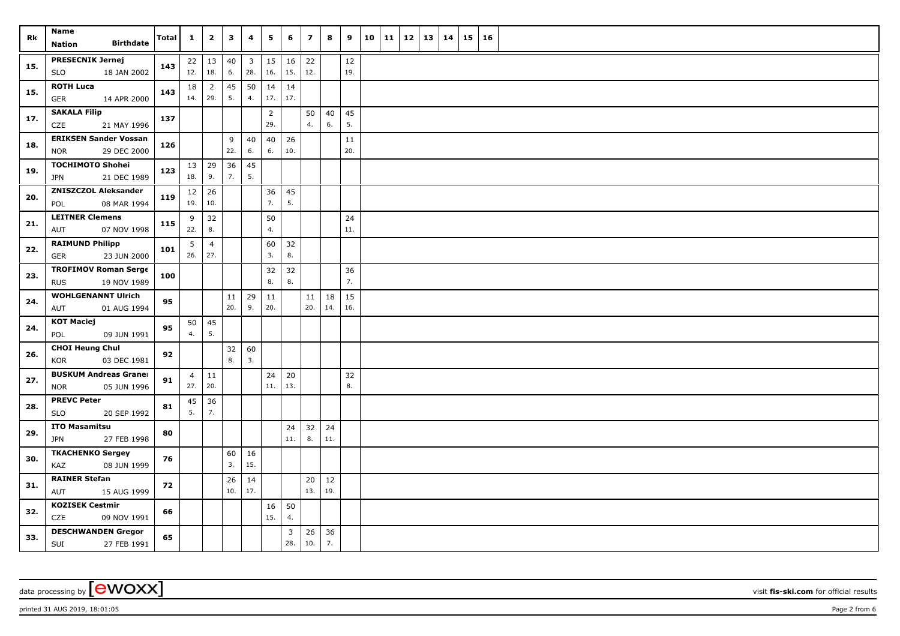| Rk  | Name<br><b>Birthdate</b><br><b>Nation</b>                | <b>Total</b> | $\mathbf{1}$          | $\overline{\mathbf{2}}$ | 3         | 4                     | 5                     | 6           | $\overline{z}$ | 8         | 9             | 10 | 11 | 12 | 13 | 14 | 15 | 16 |  |
|-----|----------------------------------------------------------|--------------|-----------------------|-------------------------|-----------|-----------------------|-----------------------|-------------|----------------|-----------|---------------|----|----|----|----|----|----|----|--|
| 15. | <b>PRESECNIK Jernej</b><br><b>SLO</b><br>18 JAN 2002     | 143          | 12.                   | $22 \mid 13$<br>18.     | 40<br>6.  | $\overline{3}$<br>28. | 15<br>16.             | 16<br>15.   | 22<br>12.      |           | $12\,$<br>19. |    |    |    |    |    |    |    |  |
| 15. | <b>ROTH Luca</b><br>14 APR 2000<br>GER                   | 143          | 18<br>14.             | $\overline{2}$<br>29.   | 45<br>5.  | 50<br>4.              | 14<br>17.             | 14<br>17.   |                |           |               |    |    |    |    |    |    |    |  |
| 17. | <b>SAKALA Filip</b><br><b>CZE</b><br>21 MAY 1996         | 137          |                       |                         |           |                       | $\overline{2}$<br>29. |             | 50<br>4.       | 40<br>6.  | 45<br>5.      |    |    |    |    |    |    |    |  |
| 18. | <b>ERIKSEN Sander Vossan</b><br>29 DEC 2000<br>NOR       | 126          |                       |                         | 9<br>22.  | 40<br>6.              | 40<br>6.              | 26<br>10.   |                |           | 11<br>20.     |    |    |    |    |    |    |    |  |
| 19. | <b>TOCHIMOTO Shohei</b><br><b>JPN</b><br>21 DEC 1989     | 123          | 18.                   | $13 \mid 29$<br>9.      | 36<br>7.  | 45<br>5.              |                       |             |                |           |               |    |    |    |    |    |    |    |  |
| 20. | <b>ZNISZCZOL Aleksander</b><br>08 MAR 1994<br>POL        | 119          | 19.                   | $12 \mid 26$<br>10.     |           |                       | 36<br>7.              | 45<br>5.    |                |           |               |    |    |    |    |    |    |    |  |
| 21. | <b>LEITNER Clemens</b><br>AUT<br>07 NOV 1998             | 115          | 9<br>22.              | 32<br>8.                |           |                       | 50<br>4.              |             |                |           | 24<br>11.     |    |    |    |    |    |    |    |  |
| 22. | <b>RAIMUND Philipp</b><br>GER<br>23 JUN 2000             | 101          | 5<br>26.              | $\overline{4}$<br>27.   |           |                       | 60<br>3.              | 32<br>8.    |                |           |               |    |    |    |    |    |    |    |  |
| 23. | <b>TROFIMOV Roman Serge</b><br>19 NOV 1989<br><b>RUS</b> | 100          |                       |                         |           |                       | 32<br>8.              | 32<br>8.    |                |           | 36<br>7.      |    |    |    |    |    |    |    |  |
| 24. | <b>WOHLGENANNT Ulrich</b><br>AUT<br>01 AUG 1994          | 95           |                       |                         | 11<br>20. | 29<br>9.              | 11<br>20.             |             | 11<br>20.      | 18<br>14. | 15<br>16.     |    |    |    |    |    |    |    |  |
| 24. | <b>KOT Maciej</b><br>09 JUN 1991<br>POL                  | 95           | 50<br>4.              | 45<br>5.                |           |                       |                       |             |                |           |               |    |    |    |    |    |    |    |  |
| 26. | <b>CHOI Heung Chul</b><br>KOR<br>03 DEC 1981             | 92           |                       |                         | 32<br>8.  | 60<br>3.              |                       |             |                |           |               |    |    |    |    |    |    |    |  |
| 27. | <b>BUSKUM Andreas Graner</b><br>05 JUN 1996<br>NOR       | 91           | $\overline{4}$<br>27. | $\vert$ 11<br>20.       |           |                       | 24<br>11.             | 20<br>13.   |                |           | 32<br>8.      |    |    |    |    |    |    |    |  |
| 28. | <b>PREVC Peter</b><br><b>SLO</b><br>20 SEP 1992          | 81           | 45<br>5.              | 36<br>7.                |           |                       |                       |             |                |           |               |    |    |    |    |    |    |    |  |
| 29. | <b>ITO Masamitsu</b><br>JPN<br>27 FEB 1998               | 80           |                       |                         |           |                       |                       | 24<br>$11.$ | 32<br>8.       | 24<br>11. |               |    |    |    |    |    |    |    |  |
| 30. | <b>TKACHENKO Sergey</b><br>08 JUN 1999<br>KAZ            | 76           |                       |                         | 60<br>3.  | 16<br>15.             |                       |             |                |           |               |    |    |    |    |    |    |    |  |
| 31. | <b>RAINER Stefan</b><br>AUT<br>15 AUG 1999               | 72           |                       |                         | 26<br>10. | 14<br>17.             |                       |             | 20<br>13.      | 12<br>19. |               |    |    |    |    |    |    |    |  |
| 32. | <b>KOZISEK Cestmir</b><br>CZE<br>09 NOV 1991             | 66           |                       |                         |           |                       | 16<br>15.             | 50<br>4.    |                |           |               |    |    |    |    |    |    |    |  |
| 33. | <b>DESCHWANDEN Gregor</b><br>SUI<br>27 FEB 1991          | 65           |                       |                         |           |                       |                       | 3<br>28.    | 26<br>$10.$    | 36<br>7.  |               |    |    |    |    |    |    |    |  |

printed 31 AUG 2019, 18:01:05 Page 2 from 6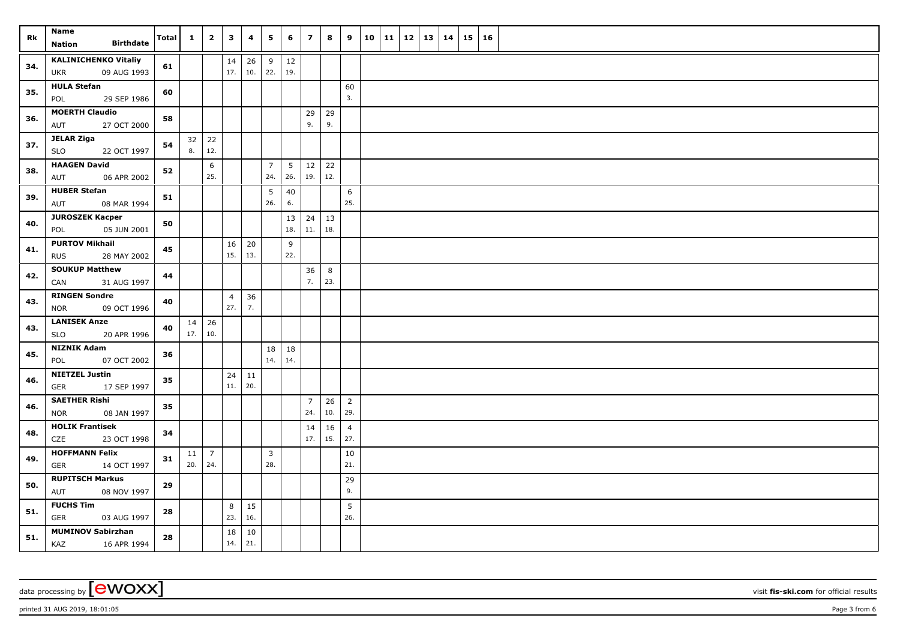| Rk  | <b>Name</b>                                              | Total | $\mathbf{1}$ | $\overline{\mathbf{2}}$ | $\mathbf{3}$          | 4         | 5                     | 6         | $\overline{\phantom{a}}$ | 8                | 9                     | 10 | $11 \mid 12$ | 13   14 | 15 16 |  |
|-----|----------------------------------------------------------|-------|--------------|-------------------------|-----------------------|-----------|-----------------------|-----------|--------------------------|------------------|-----------------------|----|--------------|---------|-------|--|
|     | <b>Birthdate</b><br><b>Nation</b>                        |       |              |                         |                       |           |                       |           |                          |                  |                       |    |              |         |       |  |
| 34. | <b>KALINICHENKO Vitaliy</b><br>09 AUG 1993<br><b>UKR</b> | 61    |              |                         | 14<br>17.             | 26<br>10. | 9<br>22.              | 12<br>19. |                          |                  |                       |    |              |         |       |  |
| 35. | <b>HULA Stefan</b><br>29 SEP 1986<br>POL                 | 60    |              |                         |                       |           |                       |           |                          |                  | 60<br>3.              |    |              |         |       |  |
| 36. | <b>MOERTH Claudio</b><br>27 OCT 2000<br>AUT              | 58    |              |                         |                       |           |                       |           | 29<br>9.                 | 29<br>9.         |                       |    |              |         |       |  |
| 37. | <b>JELAR Ziga</b><br>SLO<br>22 OCT 1997                  | 54    | 32<br>8.     | 22<br>12.               |                       |           |                       |           |                          |                  |                       |    |              |         |       |  |
|     |                                                          |       |              |                         |                       |           |                       |           |                          |                  |                       |    |              |         |       |  |
| 38. | <b>HAAGEN David</b><br>AUT<br>06 APR 2002                | 52    |              | 6<br>25.                |                       |           | $\overline{7}$<br>24. | 5<br>26.  | 12<br>19.                | 22<br>12.        |                       |    |              |         |       |  |
| 39. | <b>HUBER Stefan</b><br>08 MAR 1994<br>AUT                | 51    |              |                         |                       |           | 5<br>26.              | 40<br>6.  |                          |                  | 6<br>25.              |    |              |         |       |  |
| 40. | <b>JUROSZEK Kacper</b><br>05 JUN 2001<br>POL             | 50    |              |                         |                       |           |                       | 13<br>18. | 24<br>11.                | 13<br>18.        |                       |    |              |         |       |  |
|     | <b>PURTOV Mikhail</b>                                    |       |              |                         | 16                    | 20        |                       | 9         |                          |                  |                       |    |              |         |       |  |
| 41. | <b>RUS</b><br>28 MAY 2002                                | 45    |              |                         | 15.                   | 13.       |                       | 22.       |                          |                  |                       |    |              |         |       |  |
| 42. | <b>SOUKUP Matthew</b><br>CAN<br>31 AUG 1997              | 44    |              |                         |                       |           |                       |           | 36<br>7.                 | 8<br>$\vert$ 23. |                       |    |              |         |       |  |
| 43. | <b>RINGEN Sondre</b><br>09 OCT 1996<br><b>NOR</b>        | 40    |              |                         | $\overline{4}$<br>27. | 36<br>7.  |                       |           |                          |                  |                       |    |              |         |       |  |
|     | <b>LANISEK Anze</b>                                      |       | 14           | 26                      |                       |           |                       |           |                          |                  |                       |    |              |         |       |  |
| 43. | 20 APR 1996<br><b>SLO</b>                                | 40    | 17.          | 10.                     |                       |           |                       |           |                          |                  |                       |    |              |         |       |  |
| 45. | <b>NIZNIK Adam</b><br>07 OCT 2002<br>POL                 | 36    |              |                         |                       |           | 18<br>14.             | 18<br>14. |                          |                  |                       |    |              |         |       |  |
| 46. | <b>NIETZEL Justin</b><br>17 SEP 1997<br>GER              | 35    |              |                         | 24<br>11.             | 11<br>20. |                       |           |                          |                  |                       |    |              |         |       |  |
|     | <b>SAETHER Rishi</b>                                     |       |              |                         |                       |           |                       |           | $\overline{7}$           | 26               | $\overline{2}$        |    |              |         |       |  |
| 46. | 08 JAN 1997<br><b>NOR</b>                                | 35    |              |                         |                       |           |                       |           | 24.                      | 10.              | 29.                   |    |              |         |       |  |
| 48. | <b>HOLIK Frantisek</b><br>CZE<br>23 OCT 1998             | 34    |              |                         |                       |           |                       |           | 14<br>17.                | 16<br> 15.       | $\overline{4}$<br>27. |    |              |         |       |  |
| 49. | <b>HOFFMANN Felix</b><br><b>GER</b><br>14 OCT 1997       | 31    | 11<br>20.    | $\overline{7}$<br>24.   |                       |           | $\overline{3}$<br>28. |           |                          |                  | 10<br>21.             |    |              |         |       |  |
| 50. | <b>RUPITSCH Markus</b><br>AUT<br>08 NOV 1997             | 29    |              |                         |                       |           |                       |           |                          |                  | 29<br>9.              |    |              |         |       |  |
|     | <b>FUCHS Tim</b>                                         |       |              |                         |                       | 15        |                       |           |                          |                  | 5                     |    |              |         |       |  |
| 51. | GER<br>03 AUG 1997                                       | 28    |              |                         | 8<br>23.              | 16.       |                       |           |                          |                  | 26.                   |    |              |         |       |  |
| 51. | <b>MUMINOV Sabirzhan</b><br>KAZ<br>16 APR 1994           | 28    |              |                         | 18<br>14.             | 10<br>21. |                       |           |                          |                  |                       |    |              |         |       |  |

printed 31 AUG 2019, 18:01:05 Page 3 from 6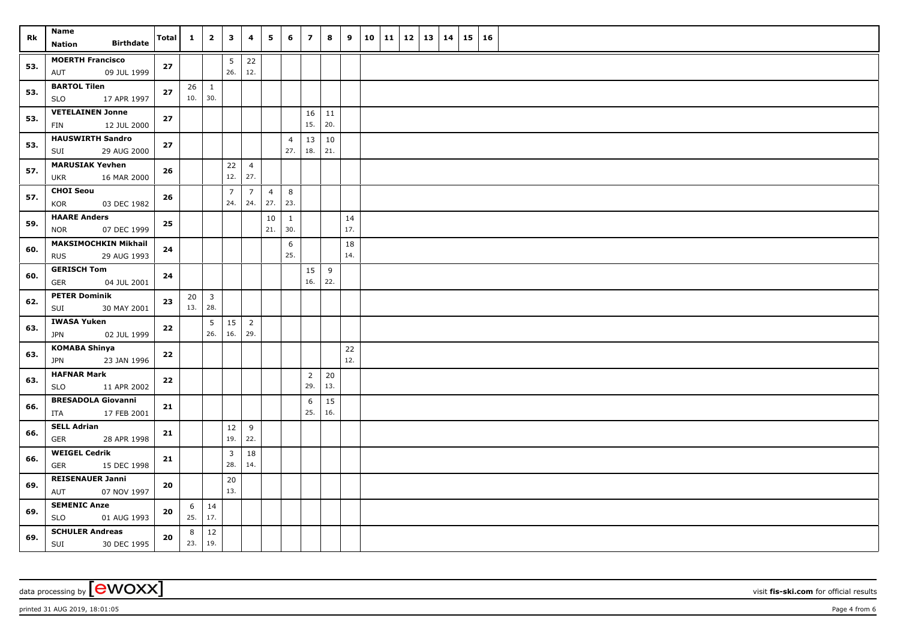| Rk  | Name<br><b>Birthdate</b>                                 | Total      | $\mathbf{1}$ | $\overline{2}$          | $\overline{\mathbf{3}}$ | 4                     | 5                     | 6                     | $\overline{7}$ | 8         | 9         | 10   11 | 12   13   14 |  | $15 \vert$ | 16 |  |
|-----|----------------------------------------------------------|------------|--------------|-------------------------|-------------------------|-----------------------|-----------------------|-----------------------|----------------|-----------|-----------|---------|--------------|--|------------|----|--|
|     | Nation                                                   |            |              |                         |                         |                       |                       |                       |                |           |           |         |              |  |            |    |  |
| 53. | <b>MOERTH Francisco</b><br>09 JUL 1999<br>AUT            | 27         |              |                         | 5<br>26.                | 22<br>12.             |                       |                       |                |           |           |         |              |  |            |    |  |
| 53. | <b>BARTOL Tilen</b><br>17 APR 1997<br><b>SLO</b>         | 27         | 26<br>10.    | $\mathbf{1}$<br>30.     |                         |                       |                       |                       |                |           |           |         |              |  |            |    |  |
| 53. | <b>VETELAINEN Jonne</b><br>12 JUL 2000<br>FIN            | $27$       |              |                         |                         |                       |                       |                       | 16<br>15.      | 11<br>20. |           |         |              |  |            |    |  |
|     | <b>HAUSWIRTH Sandro</b>                                  |            |              |                         |                         |                       |                       |                       |                |           |           |         |              |  |            |    |  |
| 53. | SUI<br>29 AUG 2000                                       | 27         |              |                         |                         |                       |                       | $\overline{4}$<br>27. | 13<br>18.      | 10<br>21. |           |         |              |  |            |    |  |
| 57. | <b>MARUSIAK Yevhen</b><br>16 MAR 2000<br><b>UKR</b>      | 26         |              |                         | 22<br>12.               | $\overline{4}$<br>27. |                       |                       |                |           |           |         |              |  |            |    |  |
| 57. | <b>CHOI Seou</b><br>KOR<br>03 DEC 1982                   | 26         |              |                         | $\overline{7}$<br>24.   | $\overline{7}$<br>24. | $\overline{4}$<br>27. | 8<br>23.              |                |           |           |         |              |  |            |    |  |
| 59. | <b>HAARE Anders</b>                                      | ${\bf 25}$ |              |                         |                         |                       | 10                    | -1                    |                |           | 14        |         |              |  |            |    |  |
|     | 07 DEC 1999<br><b>NOR</b>                                |            |              |                         |                         |                       | 21.                   | 30.                   |                |           | 17.       |         |              |  |            |    |  |
| 60. | <b>MAKSIMOCHKIN Mikhail</b><br><b>RUS</b><br>29 AUG 1993 | 24         |              |                         |                         |                       |                       | 6<br>25.              |                |           | 18<br>14. |         |              |  |            |    |  |
|     | <b>GERISCH Tom</b>                                       |            |              |                         |                         |                       |                       |                       |                |           |           |         |              |  |            |    |  |
| 60. | <b>GER</b><br>04 JUL 2001                                | 24         |              |                         |                         |                       |                       |                       | 15<br>16.      | 9<br>22.  |           |         |              |  |            |    |  |
| 62. | <b>PETER Dominik</b>                                     | 23         | 20           | $\overline{\mathbf{3}}$ |                         |                       |                       |                       |                |           |           |         |              |  |            |    |  |
|     | SUI<br>30 MAY 2001                                       |            | 13.          | 28.                     |                         |                       |                       |                       |                |           |           |         |              |  |            |    |  |
| 63. | <b>IWASA Yuken</b><br>JPN<br>02 JUL 1999                 | 22         |              | $5\overline{)}$<br>26.  | 15<br>16.               | $\overline{2}$<br>29. |                       |                       |                |           |           |         |              |  |            |    |  |
| 63. | KOMABA Shinya<br><b>JPN</b><br>23 JAN 1996               | 22         |              |                         |                         |                       |                       |                       |                |           | 22<br>12. |         |              |  |            |    |  |
|     | <b>HAFNAR Mark</b>                                       |            |              |                         |                         |                       |                       |                       | $\overline{2}$ | 20        |           |         |              |  |            |    |  |
| 63. | 11 APR 2002<br><b>SLO</b>                                | 22         |              |                         |                         |                       |                       |                       | 29.            | 13.       |           |         |              |  |            |    |  |
| 66. | <b>BRESADOLA Giovanni</b><br>17 FEB 2001<br>ITA          | 21         |              |                         |                         |                       |                       |                       | 6<br>25.       | 15<br>16. |           |         |              |  |            |    |  |
|     | <b>SELL Adrian</b>                                       |            |              |                         | $12\,$                  | 9                     |                       |                       |                |           |           |         |              |  |            |    |  |
| 66. | GER<br>28 APR 1998                                       | 21         |              |                         | 19.                     | 22.                   |                       |                       |                |           |           |         |              |  |            |    |  |
| 66. | <b>WEIGEL Cedrik</b><br>GER<br>15 DEC 1998               | 21         |              |                         | $\mathbf{3}$<br>28.     | 18<br>14.             |                       |                       |                |           |           |         |              |  |            |    |  |
| 69. | <b>REISENAUER Janni</b>                                  | 20         |              |                         | 20                      |                       |                       |                       |                |           |           |         |              |  |            |    |  |
|     | AUT<br>07 NOV 1997                                       |            |              |                         | 13.                     |                       |                       |                       |                |           |           |         |              |  |            |    |  |
| 69. | <b>SEMENIC Anze</b><br><b>SLO</b><br>01 AUG 1993         | 20         | 6<br>25.     | 14<br>17.               |                         |                       |                       |                       |                |           |           |         |              |  |            |    |  |
| 69. | <b>SCHULER Andreas</b><br>SUI<br>30 DEC 1995             | ${\bf 20}$ | 8<br>23.     | 12<br>19.               |                         |                       |                       |                       |                |           |           |         |              |  |            |    |  |

printed 31 AUG 2019, 18:01:05 Page 4 from 6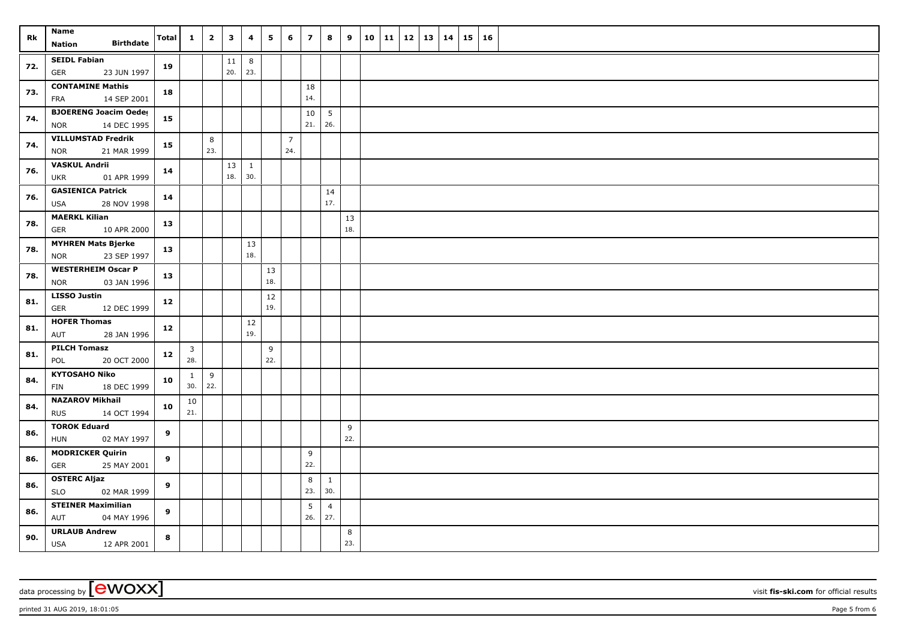| Rk  | <b>Name</b>                                               | Total | $\mathbf{1}$                   | $\overline{2}$ | $\overline{\mathbf{3}}$ | 4                   | 5         | 6              | $\overline{z}$ | 8                     | 9         | 10 | $11 \mid 12 \mid 13 \mid 14$ |  | $15 \vert$ | 16 |  |
|-----|-----------------------------------------------------------|-------|--------------------------------|----------------|-------------------------|---------------------|-----------|----------------|----------------|-----------------------|-----------|----|------------------------------|--|------------|----|--|
|     | <b>Birthdate</b><br><b>Nation</b>                         |       |                                |                |                         |                     |           |                |                |                       |           |    |                              |  |            |    |  |
| 72. | <b>SEIDL Fabian</b><br>23 JUN 1997<br>GER                 | 19    |                                |                | $11\,$<br>20.           | 8<br>23.            |           |                |                |                       |           |    |                              |  |            |    |  |
|     | <b>CONTAMINE Mathis</b>                                   |       |                                |                |                         |                     |           |                | 18             |                       |           |    |                              |  |            |    |  |
| 73. | 14 SEP 2001<br><b>FRA</b>                                 | 18    |                                |                |                         |                     |           |                | 14.            |                       |           |    |                              |  |            |    |  |
| 74. | <b>BJOERENG Joacim Oeder</b><br><b>NOR</b><br>14 DEC 1995 | 15    |                                |                |                         |                     |           |                | 10<br>21.      | 5<br>26.              |           |    |                              |  |            |    |  |
| 74. | <b>VILLUMSTAD Fredrik</b>                                 | 15    |                                | 8              |                         |                     |           | $\overline{7}$ |                |                       |           |    |                              |  |            |    |  |
|     | <b>NOR</b><br>21 MAR 1999                                 |       |                                | 23.            |                         |                     |           | 24.            |                |                       |           |    |                              |  |            |    |  |
| 76. | <b>VASKUL Andrii</b><br>01 APR 1999<br><b>UKR</b>         | 14    |                                |                | 13<br>18.               | $\mathbf{1}$<br>30. |           |                |                |                       |           |    |                              |  |            |    |  |
| 76. | <b>GASIENICA Patrick</b><br><b>USA</b><br>28 NOV 1998     | 14    |                                |                |                         |                     |           |                |                | 14<br>17.             |           |    |                              |  |            |    |  |
| 78. | <b>MAERKL Kilian</b><br>10 APR 2000<br>GER                | 13    |                                |                |                         |                     |           |                |                |                       | 13<br>18. |    |                              |  |            |    |  |
|     | <b>MYHREN Mats Bjerke</b>                                 |       |                                |                |                         | 13                  |           |                |                |                       |           |    |                              |  |            |    |  |
| 78. | 23 SEP 1997<br><b>NOR</b>                                 | 13    |                                |                |                         | 18.                 |           |                |                |                       |           |    |                              |  |            |    |  |
| 78. | <b>WESTERHEIM Oscar P</b><br>03 JAN 1996<br><b>NOR</b>    | 13    |                                |                |                         |                     | 13<br>18. |                |                |                       |           |    |                              |  |            |    |  |
|     | <b>LISSO Justin</b>                                       |       |                                |                |                         |                     | 12        |                |                |                       |           |    |                              |  |            |    |  |
| 81. | GER<br>12 DEC 1999                                        | 12    |                                |                |                         |                     | 19.       |                |                |                       |           |    |                              |  |            |    |  |
| 81. | <b>HOFER Thomas</b><br>AUT<br>28 JAN 1996                 | 12    |                                |                |                         | $12\,$<br>19.       |           |                |                |                       |           |    |                              |  |            |    |  |
| 81. | <b>PILCH Tomasz</b><br>POL<br>20 OCT 2000                 | 12    | $\overline{\mathbf{3}}$<br>28. |                |                         |                     | 9<br>22.  |                |                |                       |           |    |                              |  |            |    |  |
| 84. | <b>KYTOSAHO Niko</b>                                      | 10    | $\mathbf{1}$<br>30.            | 9<br>22.       |                         |                     |           |                |                |                       |           |    |                              |  |            |    |  |
|     | 18 DEC 1999<br>FIN                                        |       |                                |                |                         |                     |           |                |                |                       |           |    |                              |  |            |    |  |
| 84. | <b>NAZAROV Mikhail</b><br><b>RUS</b><br>14 OCT 1994       | 10    | 10<br>21.                      |                |                         |                     |           |                |                |                       |           |    |                              |  |            |    |  |
| 86. | <b>TOROK Eduard</b>                                       | 9     |                                |                |                         |                     |           |                |                |                       | 9<br>22.  |    |                              |  |            |    |  |
|     | HUN<br>02 MAY 1997                                        |       |                                |                |                         |                     |           |                |                |                       |           |    |                              |  |            |    |  |
| 86. | <b>MODRICKER Quirin</b><br>25 MAY 2001<br>GER             | 9     |                                |                |                         |                     |           |                | 9<br>22.       |                       |           |    |                              |  |            |    |  |
| 86. | <b>OSTERC Aljaz</b>                                       | 9     |                                |                |                         |                     |           |                | 8              | 1                     |           |    |                              |  |            |    |  |
|     | <b>SLO</b><br>02 MAR 1999                                 |       |                                |                |                         |                     |           |                | 23.            | 30.                   |           |    |                              |  |            |    |  |
| 86. | <b>STEINER Maximilian</b><br>AUT<br>04 MAY 1996           | 9     |                                |                |                         |                     |           |                | 5<br>26.       | $\overline{4}$<br>27. |           |    |                              |  |            |    |  |
| 90. | <b>URLAUB Andrew</b><br><b>USA</b><br>12 APR 2001         | 8     |                                |                |                         |                     |           |                |                |                       | 8<br>23.  |    |                              |  |            |    |  |

printed 31 AUG 2019, 18:01:05 **Page 5** from 6